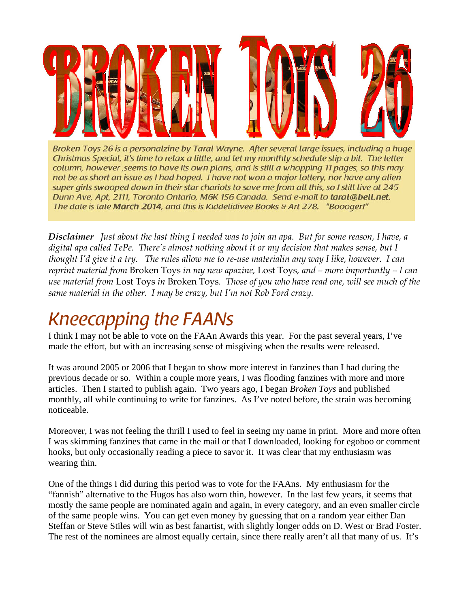

Broken Toys 26 is a personalzine by Taral Wayne. After several large issues, including a huge Christmas Special, it's time to relax a little, and let my monthly schedule slip a bit. The letter column, however, seems to have its own plans, and is still a whopping 11 pages, so this may not be as short an issue as I had hoped. I have not won a major lottery, nor have any alien super girls swooped down in their star chariots to save me from all this, so I still live at 245 Dunn Ave, Apt, 2111, Toronto Ontario, M6K 1S6 Canada. Send e-mail to taral@bell.net. The date is late March 2014, and this is Kiddelidivee Books & Art 278. "Boooger!"

*Disclaimer Just about the last thing I needed was to join an apa. But for some reason, I have, a digital apa called TePe. There's almost nothing about it or my decision that makes sense, but I thought I'd give it a try. The rules allow me to re-use materialin any way I like, however. I can reprint material from* Broken Toys *in my new apazine,* Lost Toys*, and – more importantly – I can use material from* Lost Toys *in* Broken Toys*. Those of you who have read one, will see much of the same material in the other. I may be crazy, but I'm not Rob Ford crazy.* 

# *Kneecapping the FAANs*

I think I may not be able to vote on the FAAn Awards this year. For the past several years, I've made the effort, but with an increasing sense of misgiving when the results were released.

It was around 2005 or 2006 that I began to show more interest in fanzines than I had during the previous decade or so. Within a couple more years, I was flooding fanzines with more and more articles. Then I started to publish again. Two years ago, I began *Broken Toys* and published monthly, all while continuing to write for fanzines. As I've noted before, the strain was becoming noticeable.

Moreover, I was not feeling the thrill I used to feel in seeing my name in print. More and more often I was skimming fanzines that came in the mail or that I downloaded, looking for egoboo or comment hooks, but only occasionally reading a piece to savor it. It was clear that my enthusiasm was wearing thin.

One of the things I did during this period was to vote for the FAAns. My enthusiasm for the "fannish" alternative to the Hugos has also worn thin, however. In the last few years, it seems that mostly the same people are nominated again and again, in every category, and an even smaller circle of the same people wins. You can get even money by guessing that on a random year either Dan Steffan or Steve Stiles will win as best fanartist, with slightly longer odds on D. West or Brad Foster. The rest of the nominees are almost equally certain, since there really aren't all that many of us. It's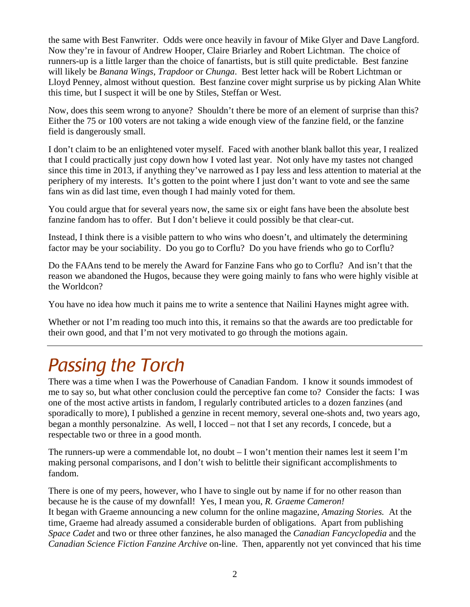the same with Best Fanwriter. Odds were once heavily in favour of Mike Glyer and Dave Langford. Now they're in favour of Andrew Hooper, Claire Briarley and Robert Lichtman. The choice of runners-up is a little larger than the choice of fanartists, but is still quite predictable. Best fanzine will likely be *Banana Wings*, *Trapdoor* or *Chunga*. Best letter hack will be Robert Lichtman or Lloyd Penney, almost without question. Best fanzine cover might surprise us by picking Alan White this time, but I suspect it will be one by Stiles, Steffan or West.

Now, does this seem wrong to anyone? Shouldn't there be more of an element of surprise than this? Either the 75 or 100 voters are not taking a wide enough view of the fanzine field, or the fanzine field is dangerously small.

I don't claim to be an enlightened voter myself. Faced with another blank ballot this year, I realized that I could practically just copy down how I voted last year. Not only have my tastes not changed since this time in 2013, if anything they've narrowed as I pay less and less attention to material at the periphery of my interests. It's gotten to the point where I just don't want to vote and see the same fans win as did last time, even though I had mainly voted for them.

You could argue that for several years now, the same six or eight fans have been the absolute best fanzine fandom has to offer. But I don't believe it could possibly be that clear-cut.

Instead, I think there is a visible pattern to who wins who doesn't, and ultimately the determining factor may be your sociability. Do you go to Corflu? Do you have friends who go to Corflu?

Do the FAAns tend to be merely the Award for Fanzine Fans who go to Corflu? And isn't that the reason we abandoned the Hugos, because they were going mainly to fans who were highly visible at the Worldcon?

You have no idea how much it pains me to write a sentence that Nailini Haynes might agree with.

Whether or not I'm reading too much into this, it remains so that the awards are too predictable for their own good, and that I'm not very motivated to go through the motions again.

# *Passing the Torch*

There was a time when I was the Powerhouse of Canadian Fandom. I know it sounds immodest of me to say so, but what other conclusion could the perceptive fan come to? Consider the facts: I was one of the most active artists in fandom, I regularly contributed articles to a dozen fanzines (and sporadically to more), I published a genzine in recent memory, several one-shots and, two years ago, began a monthly personalzine. As well, I locced – not that I set any records, I concede, but a respectable two or three in a good month.

The runners-up were a commendable lot, no doubt  $-I$  won't mention their names lest it seem I'm making personal comparisons, and I don't wish to belittle their significant accomplishments to fandom.

There is one of my peers, however, who I have to single out by name if for no other reason than because he is the cause of my downfall! Yes, I mean you, *R. Graeme Cameron!*  It began with Graeme announcing a new column for the online magazine, *Amazing Stories.* At the time, Graeme had already assumed a considerable burden of obligations. Apart from publishing *Space Cadet* and two or three other fanzines, he also managed the *Canadian Fancyclopedia* and the *Canadian Science Fiction Fanzine Archive* on-line. Then, apparently not yet convinced that his time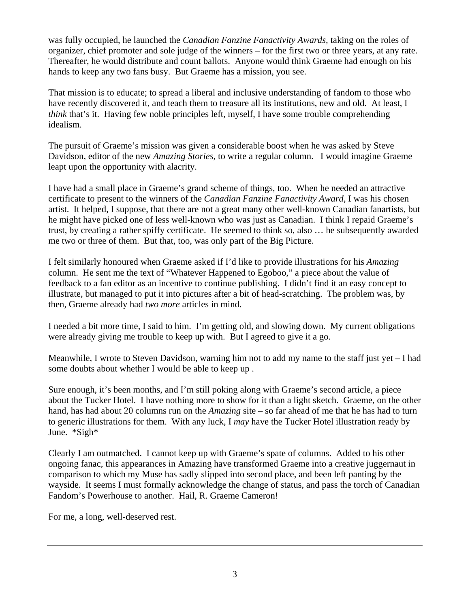was fully occupied, he launched the *Canadian Fanzine Fanactivity Awards,* taking on the roles of organizer, chief promoter and sole judge of the winners – for the first two or three years, at any rate. Thereafter, he would distribute and count ballots. Anyone would think Graeme had enough on his hands to keep any two fans busy. But Graeme has a mission, you see.

That mission is to educate; to spread a liberal and inclusive understanding of fandom to those who have recently discovered it, and teach them to treasure all its institutions, new and old. At least, I *think* that's it. Having few noble principles left, myself, I have some trouble comprehending idealism.

The pursuit of Graeme's mission was given a considerable boost when he was asked by Steve Davidson, editor of the new *Amazing Stories*, to write a regular column. I would imagine Graeme leapt upon the opportunity with alacrity.

I have had a small place in Graeme's grand scheme of things, too. When he needed an attractive certificate to present to the winners of the *Canadian Fanzine Fanactivity Award*, I was his chosen artist. It helped, I suppose, that there are not a great many other well-known Canadian fanartists, but he might have picked one of less well-known who was just as Canadian. I think I repaid Graeme's trust, by creating a rather spiffy certificate. He seemed to think so, also … he subsequently awarded me two or three of them. But that, too, was only part of the Big Picture.

I felt similarly honoured when Graeme asked if I'd like to provide illustrations for his *Amazing*  column. He sent me the text of "Whatever Happened to Egoboo," a piece about the value of feedback to a fan editor as an incentive to continue publishing. I didn't find it an easy concept to illustrate, but managed to put it into pictures after a bit of head-scratching. The problem was, by then, Graeme already had *two more* articles in mind.

I needed a bit more time, I said to him. I'm getting old, and slowing down. My current obligations were already giving me trouble to keep up with. But I agreed to give it a go.

Meanwhile, I wrote to Steven Davidson, warning him not to add my name to the staff just yet – I had some doubts about whether I would be able to keep up .

Sure enough, it's been months, and I'm still poking along with Graeme's second article, a piece about the Tucker Hotel. I have nothing more to show for it than a light sketch. Graeme, on the other hand, has had about 20 columns run on the *Amazing* site – so far ahead of me that he has had to turn to generic illustrations for them. With any luck, I *may* have the Tucker Hotel illustration ready by June. \*Sigh\*

Clearly I am outmatched. I cannot keep up with Graeme's spate of columns. Added to his other ongoing fanac, this appearances in Amazing have transformed Graeme into a creative juggernaut in comparison to which my Muse has sadly slipped into second place, and been left panting by the wayside. It seems I must formally acknowledge the change of status, and pass the torch of Canadian Fandom's Powerhouse to another. Hail, R. Graeme Cameron!

For me, a long, well-deserved rest.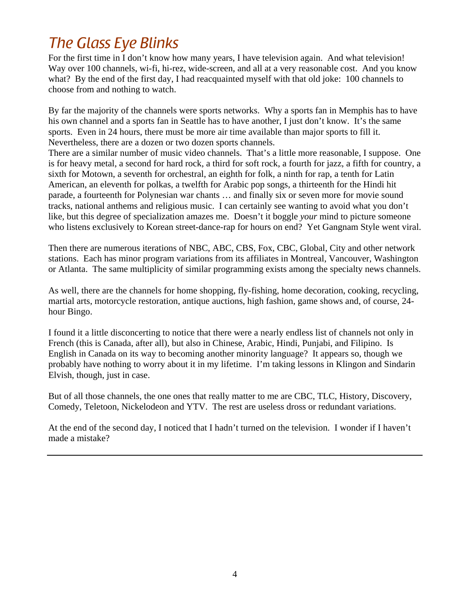# *The Glass Eye Blinks*

For the first time in I don't know how many years, I have television again. And what television! Way over 100 channels, wi-fi, hi-rez, wide-screen, and all at a very reasonable cost. And you know what? By the end of the first day, I had reacquainted myself with that old joke: 100 channels to choose from and nothing to watch.

By far the majority of the channels were sports networks. Why a sports fan in Memphis has to have his own channel and a sports fan in Seattle has to have another, I just don't know. It's the same sports. Even in 24 hours, there must be more air time available than major sports to fill it. Nevertheless, there are a dozen or two dozen sports channels.

There are a similar number of music video channels. That's a little more reasonable, I suppose. One is for heavy metal, a second for hard rock, a third for soft rock, a fourth for jazz, a fifth for country, a sixth for Motown, a seventh for orchestral, an eighth for folk, a ninth for rap, a tenth for Latin American, an eleventh for polkas, a twelfth for Arabic pop songs, a thirteenth for the Hindi hit parade, a fourteenth for Polynesian war chants … and finally six or seven more for movie sound tracks, national anthems and religious music. I can certainly see wanting to avoid what you don't like, but this degree of specialization amazes me. Doesn't it boggle *your* mind to picture someone who listens exclusively to Korean street-dance-rap for hours on end? Yet Gangnam Style went viral.

Then there are numerous iterations of NBC, ABC, CBS, Fox, CBC, Global, City and other network stations. Each has minor program variations from its affiliates in Montreal, Vancouver, Washington or Atlanta. The same multiplicity of similar programming exists among the specialty news channels.

As well, there are the channels for home shopping, fly-fishing, home decoration, cooking, recycling, martial arts, motorcycle restoration, antique auctions, high fashion, game shows and, of course, 24 hour Bingo.

I found it a little disconcerting to notice that there were a nearly endless list of channels not only in French (this is Canada, after all), but also in Chinese, Arabic, Hindi, Punjabi, and Filipino. Is English in Canada on its way to becoming another minority language? It appears so, though we probably have nothing to worry about it in my lifetime. I'm taking lessons in Klingon and Sindarin Elvish, though, just in case.

But of all those channels, the one ones that really matter to me are CBC, TLC, History, Discovery, Comedy, Teletoon, Nickelodeon and YTV. The rest are useless dross or redundant variations.

At the end of the second day, I noticed that I hadn't turned on the television. I wonder if I haven't made a mistake?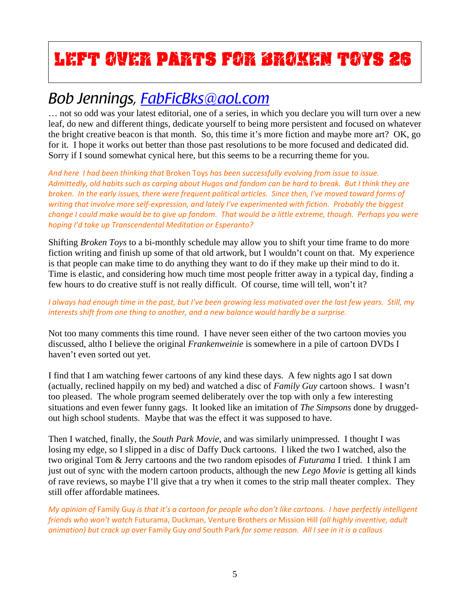# **Left Over Parts for Broken Toys 26**

# *Bob Jennings, FabFicBks@aol.com*

… not so odd was your latest editorial, one of a series, in which you declare you will turn over a new leaf, do new and different things, dedicate yourself to being more persistent and focused on whatever the bright creative beacon is that month. So, this time it's more fiction and maybe more art? OK, go for it. I hope it works out better than those past resolutions to be more focused and dedicated did. Sorry if I sound somewhat cynical here, but this seems to be a recurring theme for you.

*And here I had been thinking that* Broken Toys *has been successfully evolving from issue to issue.*  Admittedly, old habits such as carping about Hugos and fandom can be hard to break. But I think they are broken. In the early issues, there were frequent political articles. Since then, I've moved toward forms of writing that involve more self-expression, and lately I've experimented with fiction. Probably the biggest change I could make would be to give up fandom. That would be a little extreme, though. Perhaps you were *hoping I'd take up Transcendental Meditation or Esperanto?*

Shifting *Broken Toys* to a bi-monthly schedule may allow you to shift your time frame to do more fiction writing and finish up some of that old artwork, but I wouldn't count on that. My experience is that people can make time to do anything they want to do if they make up their mind to do it. Time is elastic, and considering how much time most people fritter away in a typical day, finding a few hours to do creative stuff is not really difficult. Of course, time will tell, won't it?

### I always had enough time in the past, but I've been growing less motivated over the last few years. Still, my *interests shift from one thing to another, and a new balance would hardly be a surprise.*

Not too many comments this time round. I have never seen either of the two cartoon movies you discussed, altho I believe the original *Frankenweinie* is somewhere in a pile of cartoon DVDs I haven't even sorted out yet.

I find that I am watching fewer cartoons of any kind these days. A few nights ago I sat down (actually, reclined happily on my bed) and watched a disc of *Family Guy* cartoon shows. I wasn't too pleased. The whole program seemed deliberately over the top with only a few interesting situations and even fewer funny gags. It looked like an imitation of *The Simpsons* done by druggedout high school students. Maybe that was the effect it was supposed to have.

Then I watched, finally, the *South Park Movie*, and was similarly unimpressed. I thought I was losing my edge, so I slipped in a disc of Daffy Duck cartoons. I liked the two I watched, also the two original Tom & Jerry cartoons and the two random episodes of *Futurama* I tried. I think I am just out of sync with the modern cartoon products, although the new *Lego Movie* is getting all kinds of rave reviews, so maybe I'll give that a try when it comes to the strip mall theater complex. They still offer affordable matinees.

My opinion of Family Guy is that it's a cartoon for people who don't like cartoons. I have perfectly intelligent *friends who won't watch* Futurama, Duckman, Venture Brothers *or* Mission Hill *(all highly inventive, adult* animation) but crack up over Family Guy and South Park for some reason. All I see in it is a callous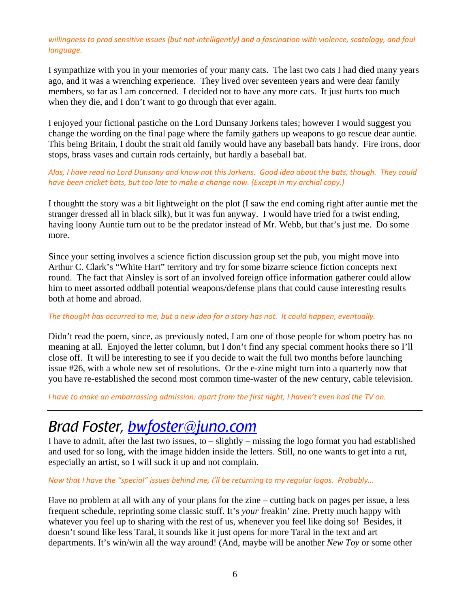### willingness to prod sensitive issues (but not intelligently) and a fascination with violence, scatology, and foul *language.*

I sympathize with you in your memories of your many cats. The last two cats I had died many years ago, and it was a wrenching experience. They lived over seventeen years and were dear family members, so far as I am concerned. I decided not to have any more cats. It just hurts too much when they die, and I don't want to go through that ever again.

I enjoyed your fictional pastiche on the Lord Dunsany Jorkens tales; however I would suggest you change the wording on the final page where the family gathers up weapons to go rescue dear auntie. This being Britain, I doubt the strait old family would have any baseball bats handy. Fire irons, door stops, brass vases and curtain rods certainly, but hardly a baseball bat.

Alas, I have read no Lord Dunsany and know not this Jorkens. Good idea about the bats, though. They could *have been cricket bats, but too late to make a change now. (Except in my archial copy.)*

I thoughtt the story was a bit lightweight on the plot (I saw the end coming right after auntie met the stranger dressed all in black silk), but it was fun anyway. I would have tried for a twist ending, having loony Auntie turn out to be the predator instead of Mr. Webb, but that's just me. Do some more.

Since your setting involves a science fiction discussion group set the pub, you might move into Arthur C. Clark's "White Hart" territory and try for some bizarre science fiction concepts next round. The fact that Ainsley is sort of an involved foreign office information gatherer could allow him to meet assorted oddball potential weapons/defense plans that could cause interesting results both at home and abroad.

### The thought has occurred to me, but a new idea for a story has not. It could happen, eventually.

Didn't read the poem, since, as previously noted, I am one of those people for whom poetry has no meaning at all. Enjoyed the letter column, but I don't find any special comment hooks there so I'll close off. It will be interesting to see if you decide to wait the full two months before launching issue #26, with a whole new set of resolutions. Or the e-zine might turn into a quarterly now that you have re-established the second most common time-waster of the new century, cable television.

I have to make an embarrassing admission: apart from the first night, I haven't even had the TV on.

### *Brad Foster, bwfoster@juno.com*

I have to admit, after the last two issues, to – slightly – missing the logo format you had established and used for so long, with the image hidden inside the letters. Still, no one wants to get into a rut, especially an artist, so I will suck it up and not complain.

*Now that I have the "special" issues behind me, I'll be returning to my regular logos. Probably…*

Have no problem at all with any of your plans for the zine – cutting back on pages per issue, a less frequent schedule, reprinting some classic stuff. It's *your* freakin' zine. Pretty much happy with whatever you feel up to sharing with the rest of us, whenever you feel like doing so! Besides, it doesn't sound like less Taral, it sounds like it just opens for more Taral in the text and art departments. It's win/win all the way around! (And, maybe will be another *New Toy* or some other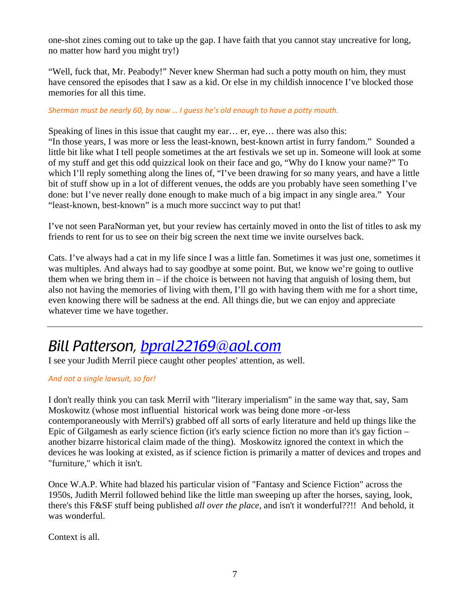one-shot zines coming out to take up the gap. I have faith that you cannot stay uncreative for long, no matter how hard you might try!)

"Well, fuck that, Mr. Peabody!" Never knew Sherman had such a potty mouth on him, they must have censored the episodes that I saw as a kid. Or else in my childish innocence I've blocked those memories for all this time.

*Sherman must be nearly 60, by now … I guess he's old enough to have a potty mouth.*

Speaking of lines in this issue that caught my ear… er, eye… there was also this: "In those years, I was more or less the least-known, best-known artist in furry fandom." Sounded a little bit like what I tell people sometimes at the art festivals we set up in. Someone will look at some of my stuff and get this odd quizzical look on their face and go, "Why do I know your name?" To which I'll reply something along the lines of, "I've been drawing for so many years, and have a little bit of stuff show up in a lot of different venues, the odds are you probably have seen something I've done: but I've never really done enough to make much of a big impact in any single area." Your "least-known, best-known" is a much more succinct way to put that!

I've not seen ParaNorman yet, but your review has certainly moved in onto the list of titles to ask my friends to rent for us to see on their big screen the next time we invite ourselves back.

Cats. I've always had a cat in my life since I was a little fan. Sometimes it was just one, sometimes it was multiples. And always had to say goodbye at some point. But, we know we're going to outlive them when we bring them in  $-i$  f the choice is between not having that anguish of losing them, but also not having the memories of living with them, I'll go with having them with me for a short time, even knowing there will be sadness at the end. All things die, but we can enjoy and appreciate whatever time we have together.

# *Bill Patterson, bpral22169@aol.com*

I see your Judith Merril piece caught other peoples' attention, as well.

### *And not a single lawsuit, so far!*

I don't really think you can task Merril with "literary imperialism" in the same way that, say, Sam Moskowitz (whose most influential historical work was being done more -or-less contemporaneously with Merril's) grabbed off all sorts of early literature and held up things like the Epic of Gilgamesh as early science fiction (it's early science fiction no more than it's gay fiction – another bizarre historical claim made of the thing). Moskowitz ignored the context in which the devices he was looking at existed, as if science fiction is primarily a matter of devices and tropes and "furniture," which it isn't.

Once W.A.P. White had blazed his particular vision of "Fantasy and Science Fiction" across the 1950s, Judith Merril followed behind like the little man sweeping up after the horses, saying, look, there's this F&SF stuff being published *all over the place*, and isn't it wonderful??!! And behold, it was wonderful.

Context is all.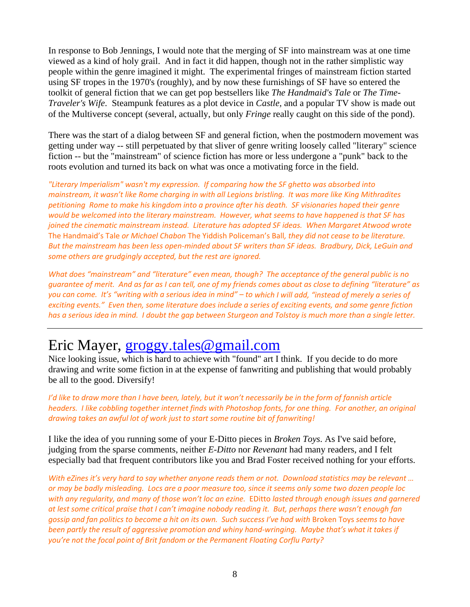In response to Bob Jennings, I would note that the merging of SF into mainstream was at one time viewed as a kind of holy grail. And in fact it did happen, though not in the rather simplistic way people within the genre imagined it might. The experimental fringes of mainstream fiction started using SF tropes in the 1970's (roughly), and by now these furnishings of SF have so entered the toolkit of general fiction that we can get pop bestsellers like *The Handmaid's Tale* or *The Time-Traveler's Wife*. Steampunk features as a plot device in *Castle,* and a popular TV show is made out of the Multiverse concept (several, actually, but only *Fringe* really caught on this side of the pond).

There was the start of a dialog between SF and general fiction, when the postmodern movement was getting under way -- still perpetuated by that sliver of genre writing loosely called "literary" science fiction -- but the "mainstream" of science fiction has more or less undergone a "punk" back to the roots evolution and turned its back on what was once a motivating force in the field.

*"Literary Imperialism" wasn't my expression. If comparing how the SF ghetto was absorbed into* mainstream, it wasn't like Rome charaing in with all Legions bristling. It was more like King Mithradites petitioning Rome to make his kingdom into a province after his death. SF visionaries hoped their genre would be welcomed into the literary mainstream. However, what seems to have happened is that SF has *joined the cinematic mainstream instead. Literature has adopted SF ideas. When Margaret Atwood wrote* The Handmaid's Tale *or Michael Chabon* The Yiddish Policeman's Ball*, they did not cease to be literature.*  But the mainstream has been less open-minded about SF writers than SF ideas. Bradbury, Dick, LeGuin and *some others are grudgingly accepted, but the rest are ignored.*

*What does "mainstream" and "literature" even mean, though? The acceptance of the general public is no* quarantee of merit. And as far as I can tell, one of my friends comes about as close to defining "literature" as you can come. It's "writing with a serious idea in mind" - to which I will add, "instead of merely a series of exciting events." Even then, some literature does include a series of exciting events, and some genre fiction has a serious idea in mind. I doubt the gap between Sturgeon and Tolstoy is much more than a single letter.

### Eric Mayer, groggy.tales@gmail.com

Nice looking issue, which is hard to achieve with "found" art I think. If you decide to do more drawing and write some fiction in at the expense of fanwriting and publishing that would probably be all to the good. Diversify!

I'd like to draw more than I have been, lately, but it won't necessarily be in the form of fannish article headers. I like cobbling together internet finds with Photoshop fonts, for one thing. For another, an original *drawing takes an awful lot of work just to start some routine bit of fanwriting!*

I like the idea of you running some of your E-Ditto pieces in *Broken Toys*. As I've said before, judging from the sparse comments, neither *E-Ditto* nor *Revenant* had many readers, and I felt especially bad that frequent contributors like you and Brad Foster received nothing for your efforts.

With eZines it's very hard to say whether anyone reads them or not. Download statistics may be relevant ... or may be badly misleading. Locs are a poor measure too, since it seems only some two dozen people loc with any regularity, and many of those won't loc an ezine. EDitto lasted through enough issues and garnered at lest some critical praise that I can't imagine nobody reading it. But, perhaps there wasn't enough fan gossip and fan politics to become a hit on its own. Such success I've had with Broken Toys seems to have been partly the result of aggressive promotion and whiny hand-wringing. Maybe that's what it takes if *you're not the focal point of Brit fandom or the Permanent Floating Corflu Party?*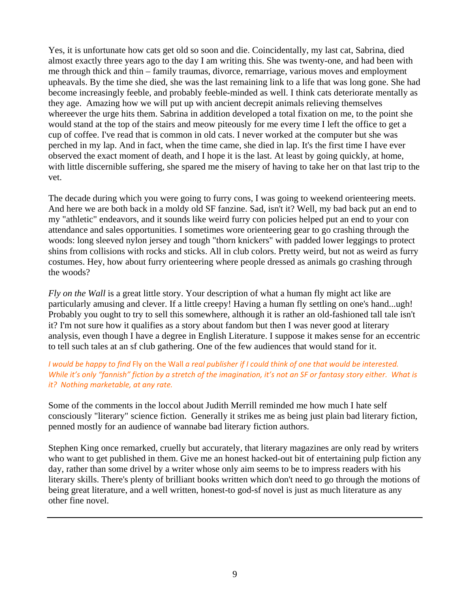Yes, it is unfortunate how cats get old so soon and die. Coincidentally, my last cat, Sabrina, died almost exactly three years ago to the day I am writing this. She was twenty-one, and had been with me through thick and thin – family traumas, divorce, remarriage, various moves and employment upheavals. By the time she died, she was the last remaining link to a life that was long gone. She had become increasingly feeble, and probably feeble-minded as well. I think cats deteriorate mentally as they age. Amazing how we will put up with ancient decrepit animals relieving themselves whereever the urge hits them. Sabrina in addition developed a total fixation on me, to the point she would stand at the top of the stairs and meow piteously for me every time I left the office to get a cup of coffee. I've read that is common in old cats. I never worked at the computer but she was perched in my lap. And in fact, when the time came, she died in lap. It's the first time I have ever observed the exact moment of death, and I hope it is the last. At least by going quickly, at home, with little discernible suffering, she spared me the misery of having to take her on that last trip to the vet.

The decade during which you were going to furry cons, I was going to weekend orienteering meets. And here we are both back in a moldy old SF fanzine. Sad, isn't it? Well, my bad back put an end to my "athletic" endeavors, and it sounds like weird furry con policies helped put an end to your con attendance and sales opportunities. I sometimes wore orienteering gear to go crashing through the woods: long sleeved nylon jersey and tough "thorn knickers" with padded lower leggings to protect shins from collisions with rocks and sticks. All in club colors. Pretty weird, but not as weird as furry costumes. Hey, how about furry orienteering where people dressed as animals go crashing through the woods?

*Fly on the Wall* is a great little story. Your description of what a human fly might act like are particularly amusing and clever. If a little creepy! Having a human fly settling on one's hand...ugh! Probably you ought to try to sell this somewhere, although it is rather an old-fashioned tall tale isn't it? I'm not sure how it qualifies as a story about fandom but then I was never good at literary analysis, even though I have a degree in English Literature. I suppose it makes sense for an eccentric to tell such tales at an sf club gathering. One of the few audiences that would stand for it.

### I would be happy to find Fly on the Wall a real publisher if I could think of one that would be interested. While it's only "fannish" fiction by a stretch of the imagination, it's not an SF or fantasy story either. What is *it? Nothing marketable, at any rate.*

Some of the comments in the loccol about Judith Merrill reminded me how much I hate self consciously "literary" science fiction. Generally it strikes me as being just plain bad literary fiction, penned mostly for an audience of wannabe bad literary fiction authors.

Stephen King once remarked, cruelly but accurately, that literary magazines are only read by writers who want to get published in them. Give me an honest hacked-out bit of entertaining pulp fiction any day, rather than some drivel by a writer whose only aim seems to be to impress readers with his literary skills. There's plenty of brilliant books written which don't need to go through the motions of being great literature, and a well written, honest-to god-sf novel is just as much literature as any other fine novel.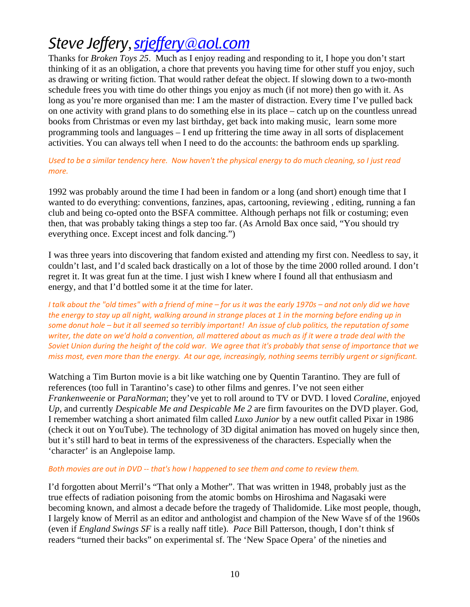# *Steve Jeffery*,*srjeffery@aol.com*

Thanks for *Broken Toys 25*. Much as I enjoy reading and responding to it, I hope you don't start thinking of it as an obligation, a chore that prevents you having time for other stuff you enjoy, such as drawing or writing fiction. That would rather defeat the object. If slowing down to a two-month schedule frees you with time do other things you enjoy as much (if not more) then go with it. As long as you're more organised than me: I am the master of distraction. Every time I've pulled back on one activity with grand plans to do something else in its place – catch up on the countless unread books from Christmas or even my last birthday, get back into making music, learn some more programming tools and languages – I end up frittering the time away in all sorts of displacement activities. You can always tell when I need to do the accounts: the bathroom ends up sparkling.

### Used to be a similar tendency here. Now haven't the physical energy to do much cleaning, so I just read *more.*

1992 was probably around the time I had been in fandom or a long (and short) enough time that I wanted to do everything: conventions, fanzines, apas, cartooning, reviewing , editing, running a fan club and being co-opted onto the BSFA committee. Although perhaps not filk or costuming; even then, that was probably taking things a step too far. (As Arnold Bax once said, "You should try everything once. Except incest and folk dancing.")

I was three years into discovering that fandom existed and attending my first con. Needless to say, it couldn't last, and I'd scaled back drastically on a lot of those by the time 2000 rolled around. I don't regret it. It was great fun at the time. I just wish I knew where I found all that enthusiasm and energy, and that I'd bottled some it at the time for later.

I talk about the "old times" with a friend of mine – for us it was the early 1970s – and not only did we have the energy to stay up all night, walking around in strange places at 1 in the morning before ending up in some donut hole - but it all seemed so terribly important! An issue of club politics, the reputation of some writer, the date on we'd hold a convention, all mattered about as much as if it were a trade deal with the Soviet Union during the height of the cold war. We agree that it's probably that sense of importance that we miss most, even more than the energy. At our age, increasingly, nothing seems terribly urgent or significant.

Watching a Tim Burton movie is a bit like watching one by Quentin Tarantino. They are full of references (too full in Tarantino's case) to other films and genres. I've not seen either *Frankenweenie* or *ParaNorman*; they've yet to roll around to TV or DVD. I loved *Coraline*, enjoyed *Up*, and currently *Despicable Me and Despicable Me 2* are firm favourites on the DVD player. God, I remember watching a short animated film called *Luxo Junior* by a new outfit called Pixar in 1986 (check it out on YouTube). The technology of 3D digital animation has moved on hugely since then, but it's still hard to beat in terms of the expressiveness of the characters. Especially when the 'character' is an Anglepoise lamp.

### *Both movies are out in DVD ‐‐ that's how I happened to see them and come to review them.*

I'd forgotten about Merril's "That only a Mother". That was written in 1948, probably just as the true effects of radiation poisoning from the atomic bombs on Hiroshima and Nagasaki were becoming known, and almost a decade before the tragedy of Thalidomide. Like most people, though, I largely know of Merril as an editor and anthologist and champion of the New Wave sf of the 1960s (even if *England Swings SF* is a really naff title). *Pace* Bill Patterson, though, I don't think sf readers "turned their backs" on experimental sf. The 'New Space Opera' of the nineties and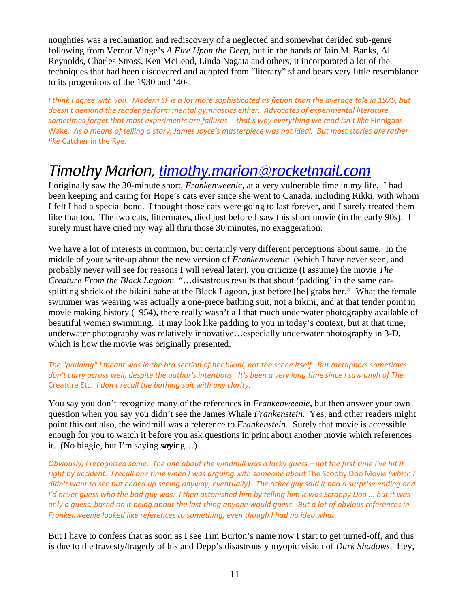noughties was a reclamation and rediscovery of a neglected and somewhat derided sub-genre following from Vernor Vinge's *A Fire Upon the Deep*, but in the hands of Iain M. Banks, Al Reynolds, Charles Stross, Ken McLeod, Linda Nagata and others, it incorporated a lot of the techniques that had been discovered and adopted from "literary" sf and bears very little resemblance to its progenitors of the 1930 and '40s.

I think I agree with you. Modern SF is a lot more sophisticated as fiction than the average tale in 1975, but *doesn't demand the reader perform mental gymnastics either. Advocates of experimental literature sometimes forget that most experiments are failures ‐‐ that's why everything we read isn't like* Finnigans Wake. As a means of telling a story, James Joyce's masterpiece was not ideal. But most stories are rather *like* Catcher in the Rye*.*

### *Timothy Marion, timothy.marion@rocketmail.com*

I originally saw the 30-minute short, *Frankenweenie*, at a very vulnerable time in my life. I had been keeping and caring for Hope's cats ever since she went to Canada, including Rikki, with whom I felt I had a special bond. I thought those cats were going to last forever, and I surely treated them like that too. The two cats, littermates, died just before I saw this short movie (in the early 90s). I surely must have cried my way all thru those 30 minutes, no exaggeration.

We have a lot of interests in common, but certainly very different perceptions about same. In the middle of your write-up about the new version of *Frankenweenie* (which I have never seen, and probably never will see for reasons I will reveal later), you criticize (I assume) the movie *The Creature From the Black Lagoon*: "…disastrous results that shout 'padding' in the same earsplitting shriek of the bikini babe at the Black Lagoon, just before [he] grabs her." What the female swimmer was wearing was actually a one-piece bathing suit, not a bikini, and at that tender point in movie making history (1954), there really wasn't all that much underwater photography available of beautiful women swimming. It may look like padding to you in today's context, but at that time, underwater photography was relatively innovative…especially underwater photography in 3-D, which is how the movie was originally presented.

### The "padding" I meant was in the bra section of her bikini, not the scene itself. But metaphors sometimes don't carry across well, despite the author's intentions. It's been a very long time since I saw anyh of The Creature Etc. *I don't recall the bathing suit with any clarity.*

You say you don't recognize many of the references in *Frankenweenie*, but then answer your own question when you say you didn't see the James Whale *Frankenstein*. Yes, and other readers might point this out also, the windmill was a reference to *Frankenstein*. Surely that movie is accessible enough for you to watch it before you ask questions in print about another movie which references it. (No biggie, but I'm saying *say*ing…)

Obviously, I recognized some. The one about the windmill was a lucky guess - not the first time I've hit it *right by accident. I recall one time when I was arguing with someone about* The Scooby Doo Movie *(which I* didn't want to see but ended up seeing anyway, eventually). The other guy said it had a surprise ending and I'd never quess who the bad quy was. I then astonished him by telling him it was Scrappy Doo ... but it was only a guess, based on it being about the last thing anyone would guess. But a lot of obvious references in *Frankenweenie looked like references to something, even though I had no idea what.*

But I have to confess that as soon as I see Tim Burton's name now I start to get turned-off, and this is due to the travesty/tragedy of his and Depp's disastrously myopic vision of *Dark Shadows*. Hey,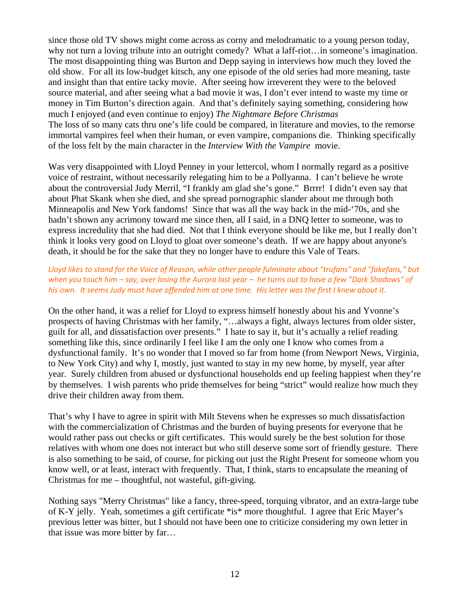since those old TV shows might come across as corny and melodramatic to a young person today, why not turn a loving tribute into an outright comedy? What a laff-riot... in someone's imagination. The most disappointing thing was Burton and Depp saying in interviews how much they loved the old show. For all its low-budget kitsch, any one episode of the old series had more meaning, taste and insight than that entire tacky movie. After seeing how irreverent they were to the beloved source material, and after seeing what a bad movie it was, I don't ever intend to waste my time or money in Tim Burton's direction again. And that's definitely saying something, considering how much I enjoyed (and even continue to enjoy) *The Nightmare Before Christmas* The loss of so many cats thru one's life could be compared, in literature and movies, to the remorse immortal vampires feel when their human, or even vampire, companions die. Thinking specifically of the loss felt by the main character in the *Interview With the Vampire* movie.

Was very disappointed with Lloyd Penney in your lettercol, whom I normally regard as a positive voice of restraint, without necessarily relegating him to be a Pollyanna. I can't believe he wrote about the controversial Judy Merril, "I frankly am glad she's gone." Brrrr! I didn't even say that about Phat Skank when she died, and she spread pornographic slander about me through both Minneapolis and New York fandoms! Since that was all the way back in the mid-'70s, and she hadn't shown any acrimony toward me since then, all I said, in a DNQ letter to someone, was to express incredulity that she had died. Not that I think everyone should be like me, but I really don't think it looks very good on Lloyd to gloat over someone's death. If we are happy about anyone's death, it should be for the sake that they no longer have to endure this Vale of Tears.

### Lloyd likes to stand for the Voice of Reason, while other people fulminate about "trufans" and "fakefans," but when you touch him  $-say$ , over losing the Aurora last year  $-$  he turns out to have a few "Dark Shadows" of his own. It seems Judy must have offended him at one time. His letter was the first I knew about it.

On the other hand, it was a relief for Lloyd to express himself honestly about his and Yvonne's prospects of having Christmas with her family, "…always a fight, always lectures from older sister, guilt for all, and dissatisfaction over presents." I hate to say it, but it's actually a relief reading something like this, since ordinarily I feel like I am the only one I know who comes from a dysfunctional family. It's no wonder that I moved so far from home (from Newport News, Virginia, to New York City) and why I, mostly, just wanted to stay in my new home, by myself, year after year. Surely children from abused or dysfunctional households end up feeling happiest when they're by themselves. I wish parents who pride themselves for being "strict" would realize how much they drive their children away from them.

That's why I have to agree in spirit with Milt Stevens when he expresses so much dissatisfaction with the commercialization of Christmas and the burden of buying presents for everyone that he would rather pass out checks or gift certificates. This would surely be the best solution for those relatives with whom one does not interact but who still deserve some sort of friendly gesture. There is also something to be said, of course, for picking out just the Right Present for someone whom you know well, or at least, interact with frequently. That, I think, starts to encapsulate the meaning of Christmas for me – thoughtful, not wasteful, gift-giving.

Nothing says "Merry Christmas" like a fancy, three-speed, torquing vibrator, and an extra-large tube of K-Y jelly. Yeah, sometimes a gift certificate \*is\* more thoughtful. I agree that Eric Mayer's previous letter was bitter, but I should not have been one to criticize considering my own letter in that issue was more bitter by far…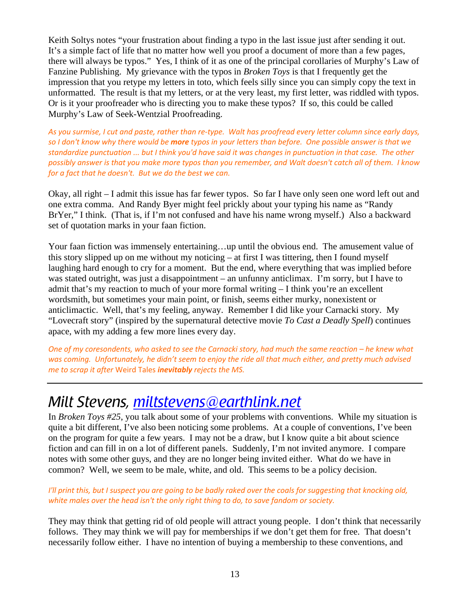Keith Soltys notes "your frustration about finding a typo in the last issue just after sending it out. It's a simple fact of life that no matter how well you proof a document of more than a few pages, there will always be typos." Yes, I think of it as one of the principal corollaries of Murphy's Law of Fanzine Publishing. My grievance with the typos in *Broken Toys* is that I frequently get the impression that you retype my letters in toto, which feels silly since you can simply copy the text in unformatted. The result is that my letters, or at the very least, my first letter, was riddled with typos. Or is it your proofreader who is directing you to make these typos? If so, this could be called Murphy's Law of Seek-Wentzial Proofreading.

As you surmise, I cut and paste, rather than re-type. Walt has proofread every letter column since early days, so I don't know why there would be more typos in your letters than before. One possible answer is that we standardize punctuation ... but I think you'd have said it was changes in punctuation in that case. The other possibly answer is that you make more typos than you remember, and Walt doesn't catch all of them. I know *for a fact that he doesn't. But we do the best we can.*

Okay, all right – I admit this issue has far fewer typos. So far I have only seen one word left out and one extra comma. And Randy Byer might feel prickly about your typing his name as "Randy BrYer," I think. (That is, if I'm not confused and have his name wrong myself.) Also a backward set of quotation marks in your faan fiction.

Your faan fiction was immensely entertaining…up until the obvious end. The amusement value of this story slipped up on me without my noticing – at first I was tittering, then I found myself laughing hard enough to cry for a moment. But the end, where everything that was implied before was stated outright, was just a disappointment – an unfunny anticlimax. I'm sorry, but I have to admit that's my reaction to much of your more formal writing  $-I$  think you're an excellent wordsmith, but sometimes your main point, or finish, seems either murky, nonexistent or anticlimactic. Well, that's my feeling, anyway. Remember I did like your Carnacki story. My "Lovecraft story" (inspired by the supernatural detective movie *To Cast a Deadly Spell*) continues apace, with my adding a few more lines every day.

One of my coresondents, who asked to see the Carnacki story, had much the same reaction - he knew what was coming. Unfortunately, he didn't seem to enjoy the ride all that much either, and pretty much advised *me to scrap it after* Weird Tales *inevitably rejects the MS.*

### *Milt Stevens, miltstevens@earthlink.net*

In *Broken Toys #25*, you talk about some of your problems with conventions. While my situation is quite a bit different, I've also been noticing some problems. At a couple of conventions, I've been on the program for quite a few years. I may not be a draw, but I know quite a bit about science fiction and can fill in on a lot of different panels. Suddenly, I'm not invited anymore. I compare notes with some other guys, and they are no longer being invited either. What do we have in common? Well, we seem to be male, white, and old. This seems to be a policy decision.

### I'll print this, but I suspect you are going to be badly raked over the coals for suggesting that knocking old, *white males over the head isn't the only right thing to do, to save fandom or society.*

They may think that getting rid of old people will attract young people. I don't think that necessarily follows. They may think we will pay for memberships if we don't get them for free. That doesn't necessarily follow either. I have no intention of buying a membership to these conventions, and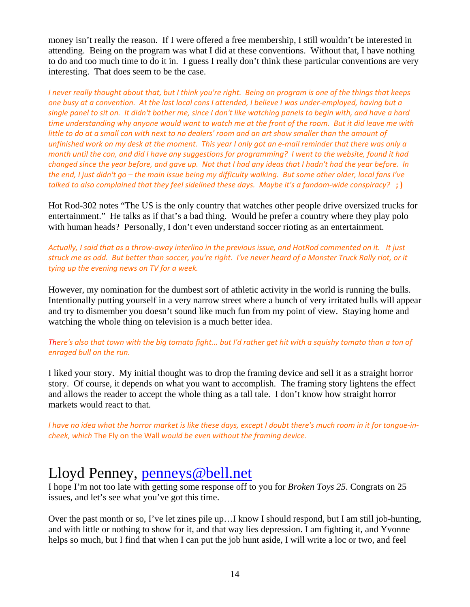money isn't really the reason. If I were offered a free membership, I still wouldn't be interested in attending. Being on the program was what I did at these conventions. Without that, I have nothing to do and too much time to do it in. I guess I really don't think these particular conventions are very interesting. That does seem to be the case.

I never really thought about that, but I think you're right. Being on program is one of the things that keeps one busy at a convention. At the last local cons I attended, I believe I was under-employed, having but a single panel to sit on. It didn't bother me, since I don't like watching panels to begin with, and have a hard time understanding why anyone would want to watch me at the front of the room. But it did leave me with little to do at a small con with next to no dealers' room and an art show smaller than the amount of unfinished work on my desk at the moment. This year I only got an e-mail reminder that there was only a month until the con, and did I have any suggestions for programming? I went to the website, found it had changed since the year before, and gave up. Not that I had any ideas that I hadn't had the year before. In the end, I just didn't go – the main issue being my difficulty walking. But some other older, local fans I've talked to also complained that they feel sidelined these days. Maybe it's a fandom-wide conspiracy? ;)

Hot Rod-302 notes "The US is the only country that watches other people drive oversized trucks for entertainment." He talks as if that's a bad thing. Would he prefer a country where they play polo with human heads? Personally, I don't even understand soccer rioting as an entertainment.

Actually, I said that as a throw-away interlino in the previous issue, and HotRod commented on it. It just struck me as odd. But better than soccer, you're right. I've never heard of a Monster Truck Rally riot, or it *tying up the evening news on TV for a week.*

However, my nomination for the dumbest sort of athletic activity in the world is running the bulls. Intentionally putting yourself in a very narrow street where a bunch of very irritated bulls will appear and try to dismember you doesn't sound like much fun from my point of view. Staying home and watching the whole thing on television is a much better idea.

There's also that town with the big tomato fight... but I'd rather get hit with a squishy tomato than a ton of *enraged bull on the run.*

I liked your story. My initial thought was to drop the framing device and sell it as a straight horror story. Of course, it depends on what you want to accomplish. The framing story lightens the effect and allows the reader to accept the whole thing as a tall tale. I don't know how straight horror markets would react to that.

I have no idea what the horror market is like these days, except I doubt there's much room in it for tongue-in*cheek, which* The Fly on the Wall *would be even without the framing device.*

### Lloyd Penney, penneys@bell.net

I hope I'm not too late with getting some response off to you for *Broken Toys 25*. Congrats on 25 issues, and let's see what you've got this time.

Over the past month or so, I've let zines pile up…I know I should respond, but I am still job-hunting, and with little or nothing to show for it, and that way lies depression. I am fighting it, and Yvonne helps so much, but I find that when I can put the job hunt aside, I will write a loc or two, and feel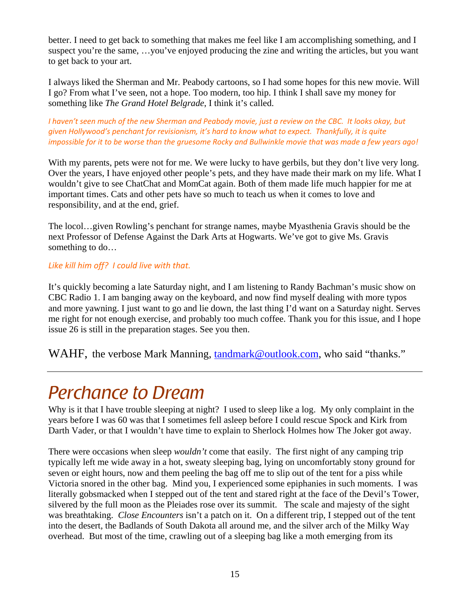better. I need to get back to something that makes me feel like I am accomplishing something, and I suspect you're the same, …you've enjoyed producing the zine and writing the articles, but you want to get back to your art.

I always liked the Sherman and Mr. Peabody cartoons, so I had some hopes for this new movie. Will I go? From what I've seen, not a hope. Too modern, too hip. I think I shall save my money for something like *The Grand Hotel Belgrade*, I think it's called.

I haven't seen much of the new Sherman and Peabody movie, just a review on the CBC. It looks okay, but *given Hollywood's penchant for revisionism, it's hard to know what to expect. Thankfully, it is quite* impossible for it to be worse than the gruesome Rocky and Bullwinkle movie that was made a few years ago!

With my parents, pets were not for me. We were lucky to have gerbils, but they don't live very long. Over the years, I have enjoyed other people's pets, and they have made their mark on my life. What I wouldn't give to see ChatChat and MomCat again. Both of them made life much happier for me at important times. Cats and other pets have so much to teach us when it comes to love and responsibility, and at the end, grief.

The locol…given Rowling's penchant for strange names, maybe Myasthenia Gravis should be the next Professor of Defense Against the Dark Arts at Hogwarts. We've got to give Ms. Gravis something to do…

### *Like kill him off? I could live with that.*

It's quickly becoming a late Saturday night, and I am listening to Randy Bachman's music show on CBC Radio 1. I am banging away on the keyboard, and now find myself dealing with more typos and more yawning. I just want to go and lie down, the last thing I'd want on a Saturday night. Serves me right for not enough exercise, and probably too much coffee. Thank you for this issue, and I hope issue 26 is still in the preparation stages. See you then.

WAHF, the verbose Mark Manning, tandmark@outlook.com, who said "thanks."

# *Perchance to Dream*

Why is it that I have trouble sleeping at night? I used to sleep like a log. My only complaint in the years before I was 60 was that I sometimes fell asleep before I could rescue Spock and Kirk from Darth Vader, or that I wouldn't have time to explain to Sherlock Holmes how The Joker got away.

There were occasions when sleep *wouldn't* come that easily. The first night of any camping trip typically left me wide away in a hot, sweaty sleeping bag, lying on uncomfortably stony ground for seven or eight hours, now and them peeling the bag off me to slip out of the tent for a piss while Victoria snored in the other bag. Mind you, I experienced some epiphanies in such moments. I was literally gobsmacked when I stepped out of the tent and stared right at the face of the Devil's Tower, silvered by the full moon as the Pleiades rose over its summit. The scale and majesty of the sight was breathtaking. *Close Encounters* isn't a patch on it. On a different trip, I stepped out of the tent into the desert, the Badlands of South Dakota all around me, and the silver arch of the Milky Way overhead. But most of the time, crawling out of a sleeping bag like a moth emerging from its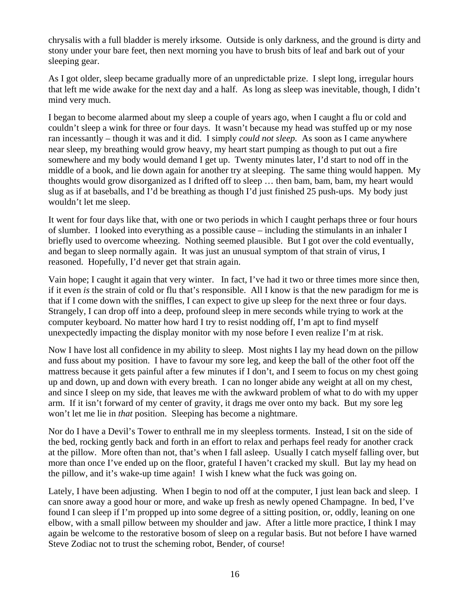chrysalis with a full bladder is merely irksome. Outside is only darkness, and the ground is dirty and stony under your bare feet, then next morning you have to brush bits of leaf and bark out of your sleeping gear.

As I got older, sleep became gradually more of an unpredictable prize. I slept long, irregular hours that left me wide awake for the next day and a half. As long as sleep was inevitable, though, I didn't mind very much.

I began to become alarmed about my sleep a couple of years ago, when I caught a flu or cold and couldn't sleep a wink for three or four days. It wasn't because my head was stuffed up or my nose ran incessantly – though it was and it did. I simply *could not sleep.* As soon as I came anywhere near sleep, my breathing would grow heavy, my heart start pumping as though to put out a fire somewhere and my body would demand I get up. Twenty minutes later, I'd start to nod off in the middle of a book, and lie down again for another try at sleeping. The same thing would happen. My thoughts would grow disorganized as I drifted off to sleep … then bam, bam, bam, my heart would slug as if at baseballs, and I'd be breathing as though I'd just finished 25 push-ups. My body just wouldn't let me sleep.

It went for four days like that, with one or two periods in which I caught perhaps three or four hours of slumber. I looked into everything as a possible cause – including the stimulants in an inhaler I briefly used to overcome wheezing. Nothing seemed plausible. But I got over the cold eventually, and began to sleep normally again. It was just an unusual symptom of that strain of virus, I reasoned. Hopefully, I'd never get that strain again.

Vain hope; I caught it again that very winter. In fact, I've had it two or three times more since then, if it even *is* the strain of cold or flu that's responsible. All I know is that the new paradigm for me is that if I come down with the sniffles, I can expect to give up sleep for the next three or four days. Strangely, I can drop off into a deep, profound sleep in mere seconds while trying to work at the computer keyboard. No matter how hard I try to resist nodding off, I'm apt to find myself unexpectedly impacting the display monitor with my nose before I even realize I'm at risk.

Now I have lost all confidence in my ability to sleep. Most nights I lay my head down on the pillow and fuss about my position. I have to favour my sore leg, and keep the ball of the other foot off the mattress because it gets painful after a few minutes if I don't, and I seem to focus on my chest going up and down, up and down with every breath. I can no longer abide any weight at all on my chest, and since I sleep on my side, that leaves me with the awkward problem of what to do with my upper arm. If it isn't forward of my center of gravity, it drags me over onto my back. But my sore leg won't let me lie in *that* position. Sleeping has become a nightmare.

Nor do I have a Devil's Tower to enthrall me in my sleepless torments. Instead, I sit on the side of the bed, rocking gently back and forth in an effort to relax and perhaps feel ready for another crack at the pillow. More often than not, that's when I fall asleep. Usually I catch myself falling over, but more than once I've ended up on the floor, grateful I haven't cracked my skull. But lay my head on the pillow, and it's wake-up time again! I wish I knew what the fuck was going on.

Lately, I have been adjusting. When I begin to nod off at the computer, I just lean back and sleep. I can snore away a good hour or more, and wake up fresh as newly opened Champagne. In bed, I've found I can sleep if I'm propped up into some degree of a sitting position, or, oddly, leaning on one elbow, with a small pillow between my shoulder and jaw. After a little more practice, I think I may again be welcome to the restorative bosom of sleep on a regular basis. But not before I have warned Steve Zodiac not to trust the scheming robot, Bender, of course!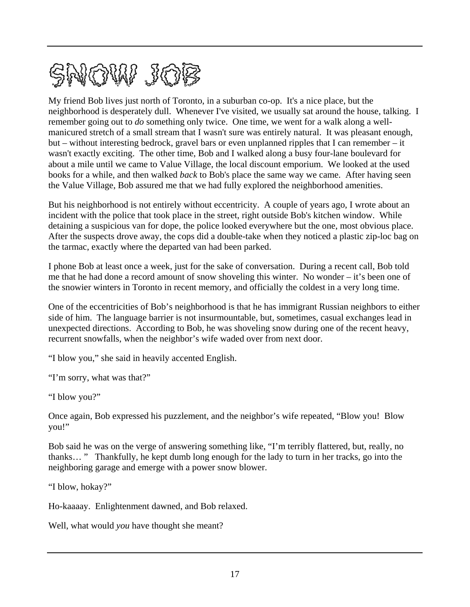

My friend Bob lives just north of Toronto, in a suburban co-op. It's a nice place, but the neighborhood is desperately dull. Whenever I've visited, we usually sat around the house, talking. I remember going out to *do* something only twice. One time, we went for a walk along a wellmanicured stretch of a small stream that I wasn't sure was entirely natural. It was pleasant enough, but – without interesting bedrock, gravel bars or even unplanned ripples that I can remember – it wasn't exactly exciting. The other time, Bob and I walked along a busy four-lane boulevard for about a mile until we came to Value Village, the local discount emporium. We looked at the used books for a while, and then walked *back* to Bob's place the same way we came. After having seen the Value Village, Bob assured me that we had fully explored the neighborhood amenities.

But his neighborhood is not entirely without eccentricity. A couple of years ago, I wrote about an incident with the police that took place in the street, right outside Bob's kitchen window. While detaining a suspicious van for dope, the police looked everywhere but the one, most obvious place. After the suspects drove away, the cops did a double-take when they noticed a plastic zip-loc bag on the tarmac, exactly where the departed van had been parked.

I phone Bob at least once a week, just for the sake of conversation. During a recent call, Bob told me that he had done a record amount of snow shoveling this winter. No wonder – it's been one of the snowier winters in Toronto in recent memory, and officially the coldest in a very long time.

One of the eccentricities of Bob's neighborhood is that he has immigrant Russian neighbors to either side of him. The language barrier is not insurmountable, but, sometimes, casual exchanges lead in unexpected directions. According to Bob, he was shoveling snow during one of the recent heavy, recurrent snowfalls, when the neighbor's wife waded over from next door.

"I blow you," she said in heavily accented English.

"I'm sorry, what was that?"

"I blow you?"

Once again, Bob expressed his puzzlement, and the neighbor's wife repeated, "Blow you! Blow you!"

Bob said he was on the verge of answering something like, "I'm terribly flattered, but, really, no thanks… " Thankfully, he kept dumb long enough for the lady to turn in her tracks, go into the neighboring garage and emerge with a power snow blower.

"I blow, hokay?"

Ho-kaaaay. Enlightenment dawned, and Bob relaxed.

Well, what would *you* have thought she meant?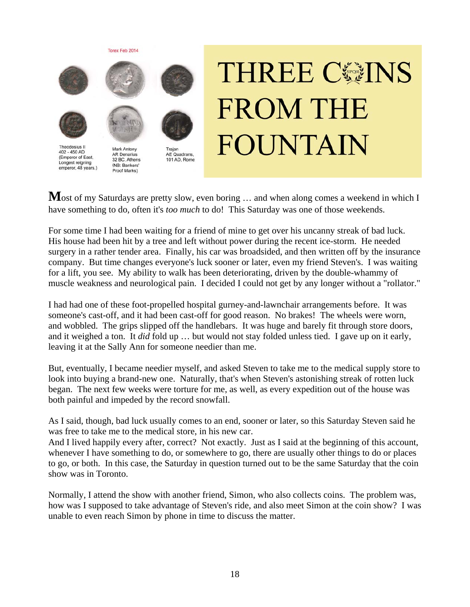

# **THREE CGINS FROM THE FOUNTAIN**

Most of my Saturdays are pretty slow, even boring ... and when along comes a weekend in which I have something to do, often it's *too much* to do! This Saturday was one of those weekends.

For some time I had been waiting for a friend of mine to get over his uncanny streak of bad luck. His house had been hit by a tree and left without power during the recent ice-storm. He needed surgery in a rather tender area. Finally, his car was broadsided, and then written off by the insurance company. But time changes everyone's luck sooner or later, even my friend Steven's. I was waiting for a lift, you see. My ability to walk has been deteriorating, driven by the double-whammy of muscle weakness and neurological pain. I decided I could not get by any longer without a "rollator."

I had had one of these foot-propelled hospital gurney-and-lawnchair arrangements before. It was someone's cast-off, and it had been cast-off for good reason. No brakes! The wheels were worn, and wobbled. The grips slipped off the handlebars. It was huge and barely fit through store doors, and it weighed a ton. It *did* fold up … but would not stay folded unless tied. I gave up on it early, leaving it at the Sally Ann for someone needier than me.

But, eventually, I became needier myself, and asked Steven to take me to the medical supply store to look into buying a brand-new one. Naturally, that's when Steven's astonishing streak of rotten luck began. The next few weeks were torture for me, as well, as every expedition out of the house was both painful and impeded by the record snowfall.

As I said, though, bad luck usually comes to an end, sooner or later, so this Saturday Steven said he was free to take me to the medical store, in his new car.

And I lived happily every after, correct? Not exactly. Just as I said at the beginning of this account, whenever I have something to do, or somewhere to go, there are usually other things to do or places to go, or both. In this case, the Saturday in question turned out to be the same Saturday that the coin show was in Toronto.

Normally, I attend the show with another friend, Simon, who also collects coins. The problem was, how was I supposed to take advantage of Steven's ride, and also meet Simon at the coin show? I was unable to even reach Simon by phone in time to discuss the matter.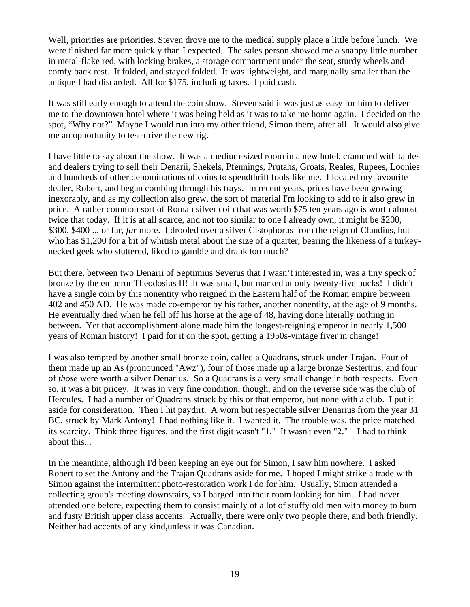Well, priorities are priorities. Steven drove me to the medical supply place a little before lunch. We were finished far more quickly than I expected. The sales person showed me a snappy little number in metal-flake red, with locking brakes, a storage compartment under the seat, sturdy wheels and comfy back rest. It folded, and stayed folded. It was lightweight, and marginally smaller than the antique I had discarded. All for \$175, including taxes. I paid cash.

It was still early enough to attend the coin show. Steven said it was just as easy for him to deliver me to the downtown hotel where it was being held as it was to take me home again. I decided on the spot, "Why not?" Maybe I would run into my other friend, Simon there, after all. It would also give me an opportunity to test-drive the new rig.

I have little to say about the show. It was a medium-sized room in a new hotel, crammed with tables and dealers trying to sell their Denarii, Shekels, Pfennings, Prutahs, Groats, Reales, Rupees, Loonies and hundreds of other denominations of coins to spendthrift fools like me. I located my favourite dealer, Robert, and began combing through his trays. In recent years, prices have been growing inexorably, and as my collection also grew, the sort of material I'm looking to add to it also grew in price. A rather common sort of Roman silver coin that was worth \$75 ten years ago is worth almost twice that today. If it is at all scarce, and not too similar to one I already own, it might be \$200, \$300, \$400 ... or far, *far* more. I drooled over a silver Cistophorus from the reign of Claudius, but who has \$1,200 for a bit of whitish metal about the size of a quarter, bearing the likeness of a turkeynecked geek who stuttered, liked to gamble and drank too much?

But there, between two Denarii of Septimius Severus that I wasn't interested in, was a tiny speck of bronze by the emperor Theodosius II! It was small, but marked at only twenty-five bucks! I didn't have a single coin by this nonentity who reigned in the Eastern half of the Roman empire between 402 and 450 AD. He was made co-emperor by his father, another nonentity, at the age of 9 months. He eventually died when he fell off his horse at the age of 48, having done literally nothing in between. Yet that accomplishment alone made him the longest-reigning emperor in nearly 1,500 years of Roman history! I paid for it on the spot, getting a 1950s-vintage fiver in change!

I was also tempted by another small bronze coin, called a Quadrans, struck under Trajan. Four of them made up an As (pronounced "Awz"), four of those made up a large bronze Sestertius, and four of *those* were worth a silver Denarius. So a Quadrans is a very small change in both respects. Even so, it was a bit pricey. It was in very fine condition, though, and on the reverse side was the club of Hercules. I had a number of Quadrans struck by this or that emperor, but none with a club. I put it aside for consideration. Then I hit paydirt. A worn but respectable silver Denarius from the year 31 BC, struck by Mark Antony! I had nothing like it. I wanted it. The trouble was, the price matched its scarcity. Think three figures, and the first digit wasn't "1." It wasn't even "2." I had to think about this...

In the meantime, although I'd been keeping an eye out for Simon, I saw him nowhere. I asked Robert to set the Antony and the Trajan Quadrans aside for me. I hoped I might strike a trade with Simon against the intermittent photo-restoration work I do for him. Usually, Simon attended a collecting group's meeting downstairs, so I barged into their room looking for him. I had never attended one before, expecting them to consist mainly of a lot of stuffy old men with money to burn and fusty British upper class accents. Actually, there were only two people there, and both friendly. Neither had accents of any kind,unless it was Canadian.